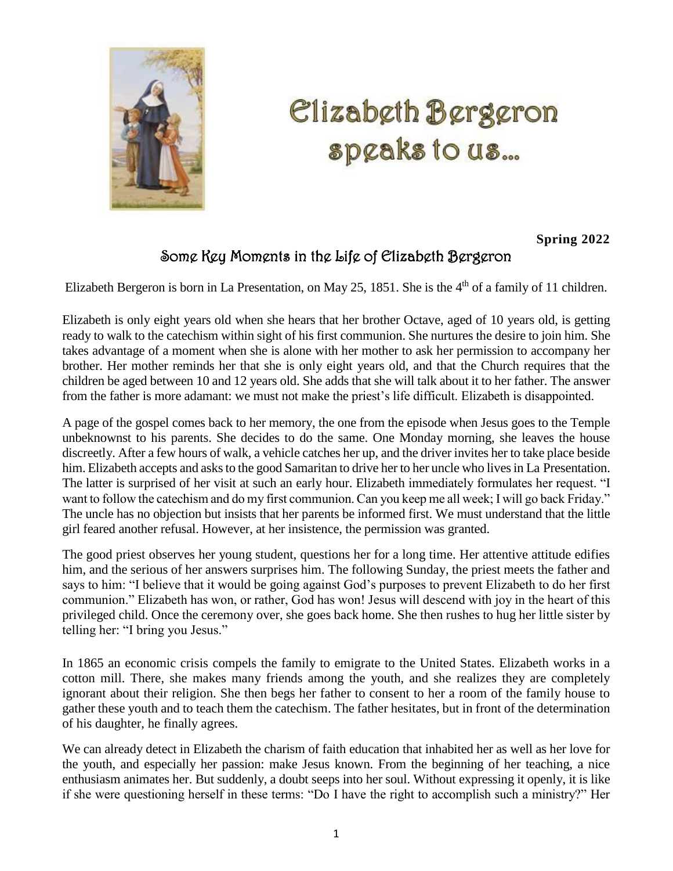

## l. Ľ J Ĵ

## **Spring 2022**

## Some Key Moments in the Life of Elizabeth Bergeron

Elizabeth Bergeron is born in La Presentation, on May 25, 1851. She is the  $4<sup>th</sup>$  of a family of 11 children.

Elizabeth is only eight years old when she hears that her brother Octave, aged of 10 years old, is getting ready to walk to the catechism within sight of his first communion. She nurtures the desire to join him. She takes advantage of a moment when she is alone with her mother to ask her permission to accompany her brother. Her mother reminds her that she is only eight years old, and that the Church requires that the children be aged between 10 and 12 years old. She adds that she will talk about it to her father. The answer from the father is more adamant: we must not make the priest's life difficult. Elizabeth is disappointed.

A page of the gospel comes back to her memory, the one from the episode when Jesus goes to the Temple unbeknownst to his parents. She decides to do the same. One Monday morning, she leaves the house discreetly. After a few hours of walk, a vehicle catches her up, and the driver invites her to take place beside him. Elizabeth accepts and asks to the good Samaritan to drive her to her uncle who lives in La Presentation. The latter is surprised of her visit at such an early hour. Elizabeth immediately formulates her request. "I want to follow the catechism and do my first communion. Can you keep me all week; I will go back Friday." The uncle has no objection but insists that her parents be informed first. We must understand that the little girl feared another refusal. However, at her insistence, the permission was granted.

The good priest observes her young student, questions her for a long time. Her attentive attitude edifies him, and the serious of her answers surprises him. The following Sunday, the priest meets the father and says to him: "I believe that it would be going against God's purposes to prevent Elizabeth to do her first communion." Elizabeth has won, or rather, God has won! Jesus will descend with joy in the heart of this privileged child. Once the ceremony over, she goes back home. She then rushes to hug her little sister by telling her: "I bring you Jesus."

In 1865 an economic crisis compels the family to emigrate to the United States. Elizabeth works in a cotton mill. There, she makes many friends among the youth, and she realizes they are completely ignorant about their religion. She then begs her father to consent to her a room of the family house to gather these youth and to teach them the catechism. The father hesitates, but in front of the determination of his daughter, he finally agrees.

We can already detect in Elizabeth the charism of faith education that inhabited her as well as her love for the youth, and especially her passion: make Jesus known. From the beginning of her teaching, a nice enthusiasm animates her. But suddenly, a doubt seeps into her soul. Without expressing it openly, it is like if she were questioning herself in these terms: "Do I have the right to accomplish such a ministry?" Her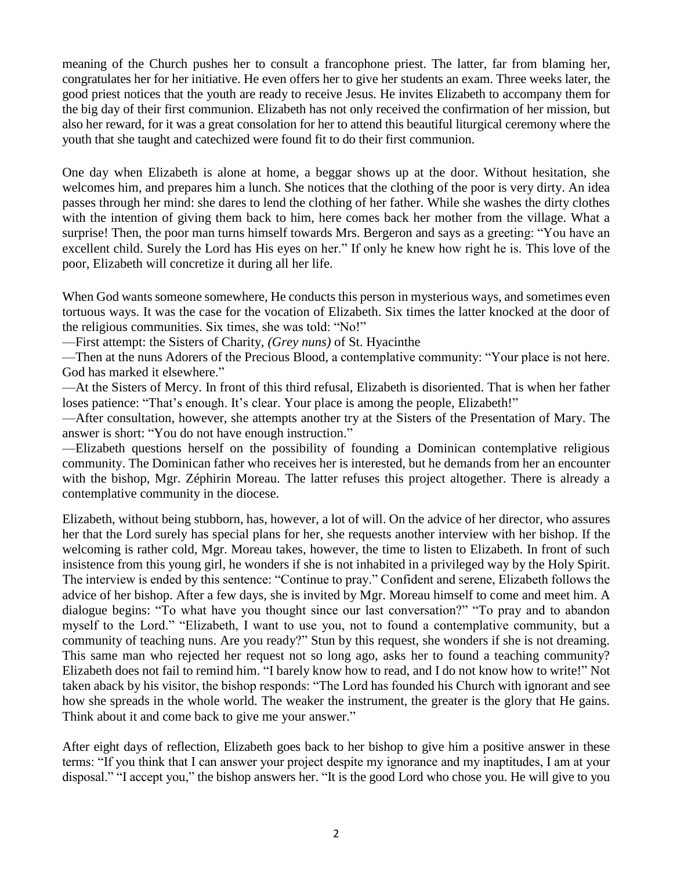meaning of the Church pushes her to consult a francophone priest. The latter, far from blaming her, congratulates her for her initiative. He even offers her to give her students an exam. Three weeks later, the good priest notices that the youth are ready to receive Jesus. He invites Elizabeth to accompany them for the big day of their first communion. Elizabeth has not only received the confirmation of her mission, but also her reward, for it was a great consolation for her to attend this beautiful liturgical ceremony where the youth that she taught and catechized were found fit to do their first communion.

One day when Elizabeth is alone at home, a beggar shows up at the door. Without hesitation, she welcomes him, and prepares him a lunch. She notices that the clothing of the poor is very dirty. An idea passes through her mind: she dares to lend the clothing of her father. While she washes the dirty clothes with the intention of giving them back to him, here comes back her mother from the village. What a surprise! Then, the poor man turns himself towards Mrs. Bergeron and says as a greeting: "You have an excellent child. Surely the Lord has His eyes on her." If only he knew how right he is. This love of the poor, Elizabeth will concretize it during all her life.

When God wants someone somewhere, He conducts this person in mysterious ways, and sometimes even tortuous ways. It was the case for the vocation of Elizabeth. Six times the latter knocked at the door of the religious communities. Six times, she was told: "No!"

—First attempt: the Sisters of Charity, *(Grey nuns)* of St. Hyacinthe

—Then at the nuns Adorers of the Precious Blood, a contemplative community: "Your place is not here. God has marked it elsewhere."

—At the Sisters of Mercy. In front of this third refusal, Elizabeth is disoriented. That is when her father loses patience: "That's enough. It's clear. Your place is among the people, Elizabeth!"

—After consultation, however, she attempts another try at the Sisters of the Presentation of Mary. The answer is short: "You do not have enough instruction."

—Elizabeth questions herself on the possibility of founding a Dominican contemplative religious community. The Dominican father who receives her is interested, but he demands from her an encounter with the bishop, Mgr. Zéphirin Moreau. The latter refuses this project altogether. There is already a contemplative community in the diocese.

Elizabeth, without being stubborn, has, however, a lot of will. On the advice of her director, who assures her that the Lord surely has special plans for her, she requests another interview with her bishop. If the welcoming is rather cold, Mgr. Moreau takes, however, the time to listen to Elizabeth. In front of such insistence from this young girl, he wonders if she is not inhabited in a privileged way by the Holy Spirit. The interview is ended by this sentence: "Continue to pray." Confident and serene, Elizabeth follows the advice of her bishop. After a few days, she is invited by Mgr. Moreau himself to come and meet him. A dialogue begins: "To what have you thought since our last conversation?" "To pray and to abandon myself to the Lord." "Elizabeth, I want to use you, not to found a contemplative community, but a community of teaching nuns. Are you ready?" Stun by this request, she wonders if she is not dreaming. This same man who rejected her request not so long ago, asks her to found a teaching community? Elizabeth does not fail to remind him. "I barely know how to read, and I do not know how to write!" Not taken aback by his visitor, the bishop responds: "The Lord has founded his Church with ignorant and see how she spreads in the whole world. The weaker the instrument, the greater is the glory that He gains. Think about it and come back to give me your answer."

After eight days of reflection, Elizabeth goes back to her bishop to give him a positive answer in these terms: "If you think that I can answer your project despite my ignorance and my inaptitudes, I am at your disposal." "I accept you," the bishop answers her. "It is the good Lord who chose you. He will give to you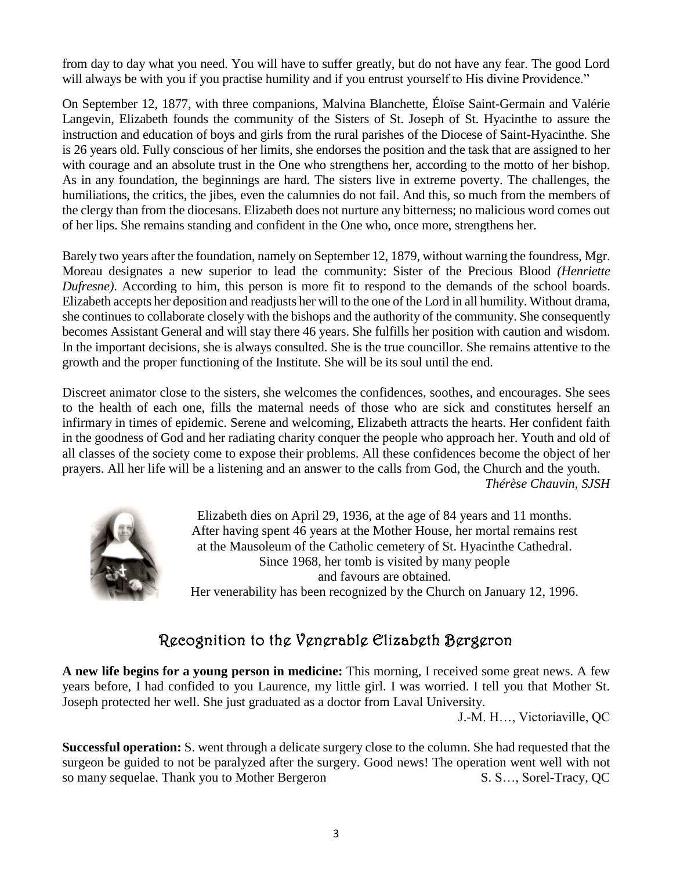from day to day what you need. You will have to suffer greatly, but do not have any fear. The good Lord will always be with you if you practise humility and if you entrust yourself to His divine Providence."

On September 12, 1877, with three companions, Malvina Blanchette, Éloïse Saint-Germain and Valérie Langevin, Elizabeth founds the community of the Sisters of St. Joseph of St. Hyacinthe to assure the instruction and education of boys and girls from the rural parishes of the Diocese of Saint-Hyacinthe. She is 26 years old. Fully conscious of her limits, she endorses the position and the task that are assigned to her with courage and an absolute trust in the One who strengthens her, according to the motto of her bishop. As in any foundation, the beginnings are hard. The sisters live in extreme poverty. The challenges, the humiliations, the critics, the jibes, even the calumnies do not fail. And this, so much from the members of the clergy than from the diocesans. Elizabeth does not nurture any bitterness; no malicious word comes out of her lips. She remains standing and confident in the One who, once more, strengthens her.

Barely two years after the foundation, namely on September 12, 1879, without warning the foundress, Mgr. Moreau designates a new superior to lead the community: Sister of the Precious Blood *(Henriette Dufresne)*. According to him, this person is more fit to respond to the demands of the school boards. Elizabeth accepts her deposition and readjusts her will to the one of the Lord in all humility. Without drama, she continues to collaborate closely with the bishops and the authority of the community. She consequently becomes Assistant General and will stay there 46 years. She fulfills her position with caution and wisdom. In the important decisions, she is always consulted. She is the true councillor. She remains attentive to the growth and the proper functioning of the Institute. She will be its soul until the end.

Discreet animator close to the sisters, she welcomes the confidences, soothes, and encourages. She sees to the health of each one, fills the maternal needs of those who are sick and constitutes herself an infirmary in times of epidemic. Serene and welcoming, Elizabeth attracts the hearts. Her confident faith in the goodness of God and her radiating charity conquer the people who approach her. Youth and old of all classes of the society come to expose their problems. All these confidences become the object of her prayers. All her life will be a listening and an answer to the calls from God, the Church and the youth. *Thérèse Chauvin, SJSH*



Elizabeth dies on April 29, 1936, at the age of 84 years and 11 months. After having spent 46 years at the Mother House, her mortal remains rest at the Mausoleum of the Catholic cemetery of St. Hyacinthe Cathedral. Since 1968, her tomb is visited by many people and favours are obtained. Her venerability has been recognized by the Church on January 12, 1996.

# Recognition to the Venerable Elizabeth Bergeron

**A new life begins for a young person in medicine:** This morning, I received some great news. A few years before, I had confided to you Laurence, my little girl. I was worried. I tell you that Mother St. Joseph protected her well. She just graduated as a doctor from Laval University.

J.-M. H…, Victoriaville, QC

**Successful operation:** S. went through a delicate surgery close to the column. She had requested that the surgeon be guided to not be paralyzed after the surgery. Good news! The operation went well with not so many sequelae. Thank you to Mother Bergeron S. S..., Sorel-Tracy, QC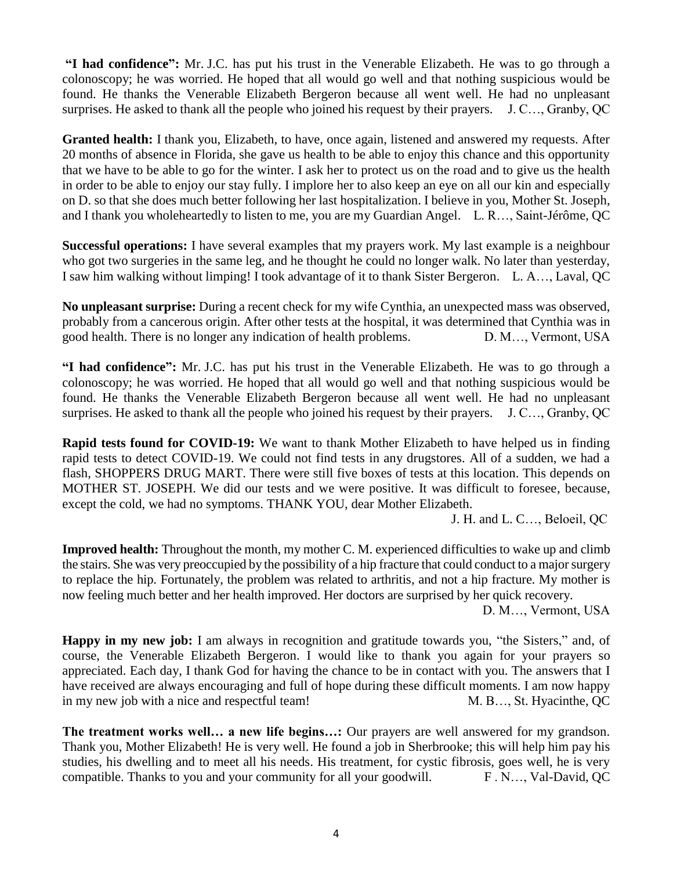**"I had confidence":** Mr. J.C. has put his trust in the Venerable Elizabeth. He was to go through a colonoscopy; he was worried. He hoped that all would go well and that nothing suspicious would be found. He thanks the Venerable Elizabeth Bergeron because all went well. He had no unpleasant surprises. He asked to thank all the people who joined his request by their prayers. J. C..., Granby, QC

**Granted health:** I thank you, Elizabeth, to have, once again, listened and answered my requests. After 20 months of absence in Florida, she gave us health to be able to enjoy this chance and this opportunity that we have to be able to go for the winter. I ask her to protect us on the road and to give us the health in order to be able to enjoy our stay fully. I implore her to also keep an eye on all our kin and especially on D. so that she does much better following her last hospitalization. I believe in you, Mother St. Joseph, and I thank you wholeheartedly to listen to me, you are my Guardian Angel. L. R…, Saint-Jérôme, QC

**Successful operations:** I have several examples that my prayers work. My last example is a neighbour who got two surgeries in the same leg, and he thought he could no longer walk. No later than yesterday, I saw him walking without limping! I took advantage of it to thank Sister Bergeron. L. A…, Laval, QC

**No unpleasant surprise:** During a recent check for my wife Cynthia, an unexpected mass was observed, probably from a cancerous origin. After other tests at the hospital, it was determined that Cynthia was in good health. There is no longer any indication of health problems. D. M…, Vermont, USA

**"I had confidence":** Mr. J.C. has put his trust in the Venerable Elizabeth. He was to go through a colonoscopy; he was worried. He hoped that all would go well and that nothing suspicious would be found. He thanks the Venerable Elizabeth Bergeron because all went well. He had no unpleasant surprises. He asked to thank all the people who joined his request by their prayers. J. C…, Granby, QC

**Rapid tests found for COVID-19:** We want to thank Mother Elizabeth to have helped us in finding rapid tests to detect COVID-19. We could not find tests in any drugstores. All of a sudden, we had a flash, SHOPPERS DRUG MART. There were still five boxes of tests at this location. This depends on MOTHER ST. JOSEPH. We did our tests and we were positive. It was difficult to foresee, because, except the cold, we had no symptoms. THANK YOU, dear Mother Elizabeth.

J. H. and L. C…, Beloeil, QC

**Improved health:** Throughout the month, my mother C. M. experienced difficulties to wake up and climb the stairs. She was very preoccupied by the possibility of a hip fracture that could conduct to a major surgery to replace the hip. Fortunately, the problem was related to arthritis, and not a hip fracture. My mother is now feeling much better and her health improved. Her doctors are surprised by her quick recovery.

D. M…, Vermont, USA

**Happy in my new job:** I am always in recognition and gratitude towards you, "the Sisters," and, of course, the Venerable Elizabeth Bergeron. I would like to thank you again for your prayers so appreciated. Each day, I thank God for having the chance to be in contact with you. The answers that I have received are always encouraging and full of hope during these difficult moments. I am now happy in my new job with a nice and respectful team! M. B..., St. Hyacinthe, QC

**The treatment works well… a new life begins…:** Our prayers are well answered for my grandson. Thank you, Mother Elizabeth! He is very well. He found a job in Sherbrooke; this will help him pay his studies, his dwelling and to meet all his needs. His treatment, for cystic fibrosis, goes well, he is very compatible. Thanks to you and your community for all your goodwill. F.N..., Val-David, QC